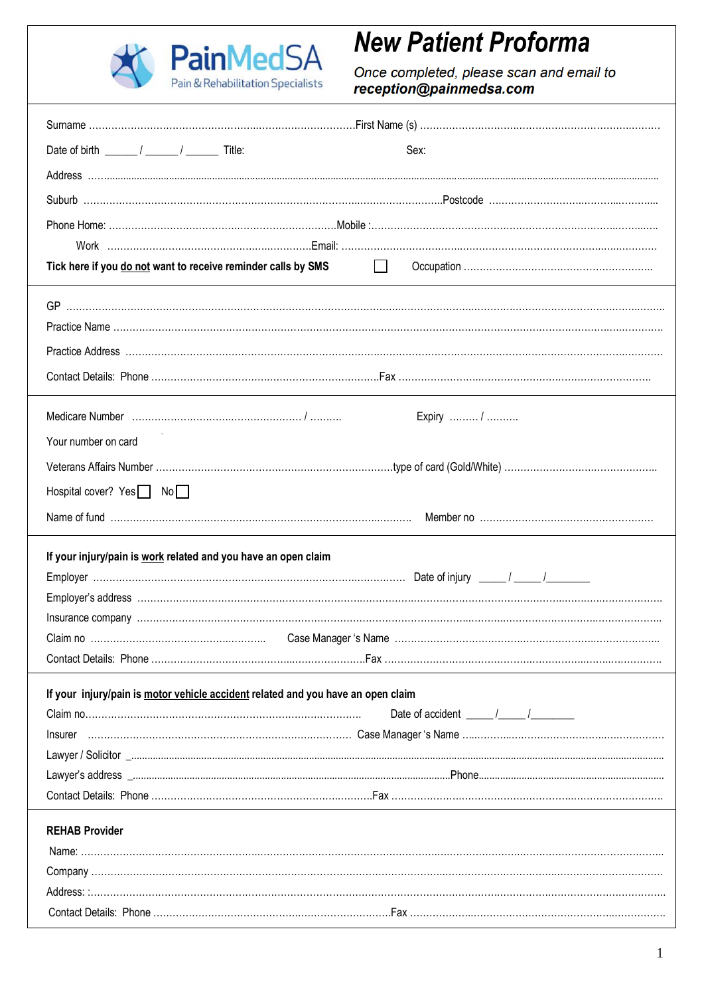

# **New Patient Proforma**

Once completed, please scan and email to<br>reception@painmedsa.com

| Date of birth $\frac{1}{\sqrt{1-\frac{1}{2}}}\sqrt{1-\frac{1}{2}}$ Title:        | Sex:                                                                  |
|----------------------------------------------------------------------------------|-----------------------------------------------------------------------|
|                                                                                  |                                                                       |
|                                                                                  |                                                                       |
|                                                                                  |                                                                       |
|                                                                                  |                                                                       |
| Tick here if you do not want to receive reminder calls by SMS                    | $\Box$                                                                |
|                                                                                  |                                                                       |
|                                                                                  |                                                                       |
|                                                                                  |                                                                       |
|                                                                                  |                                                                       |
|                                                                                  |                                                                       |
|                                                                                  | Expiry  /                                                             |
| Your number on card                                                              |                                                                       |
|                                                                                  |                                                                       |
| Hospital cover? Yes No                                                           |                                                                       |
|                                                                                  |                                                                       |
| If your injury/pain is work related and you have an open claim                   |                                                                       |
|                                                                                  |                                                                       |
|                                                                                  |                                                                       |
|                                                                                  |                                                                       |
|                                                                                  |                                                                       |
|                                                                                  |                                                                       |
| If your injury/pain is motor vehicle accident related and you have an open claim |                                                                       |
|                                                                                  | Date of accident $\frac{1}{\sqrt{1-\frac{1}{2}}}\sqrt{1-\frac{1}{2}}$ |
|                                                                                  |                                                                       |
|                                                                                  |                                                                       |
|                                                                                  |                                                                       |
|                                                                                  |                                                                       |
| <b>REHAB Provider</b>                                                            |                                                                       |
|                                                                                  |                                                                       |
|                                                                                  |                                                                       |
|                                                                                  |                                                                       |
|                                                                                  |                                                                       |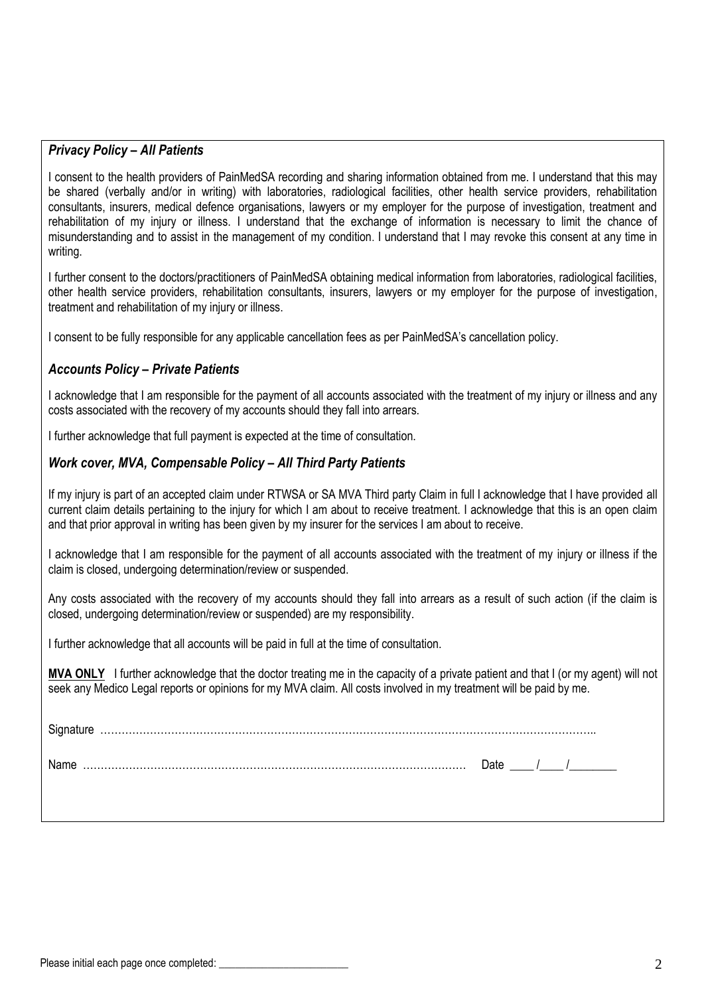## *Privacy Policy – All Patients*

I consent to the health providers of PainMedSA recording and sharing information obtained from me. I understand that this may be shared (verbally and/or in writing) with laboratories, radiological facilities, other health service providers, rehabilitation consultants, insurers, medical defence organisations, lawyers or my employer for the purpose of investigation, treatment and rehabilitation of my injury or illness. I understand that the exchange of information is necessary to limit the chance of misunderstanding and to assist in the management of my condition. I understand that I may revoke this consent at any time in writing.

I further consent to the doctors/practitioners of PainMedSA obtaining medical information from laboratories, radiological facilities, other health service providers, rehabilitation consultants, insurers, lawyers or my employer for the purpose of investigation, treatment and rehabilitation of my injury or illness.

I consent to be fully responsible for any applicable cancellation fees as per PainMedSA's cancellation policy.

# *Accounts Policy – Private Patients*

I acknowledge that I am responsible for the payment of all accounts associated with the treatment of my injury or illness and any costs associated with the recovery of my accounts should they fall into arrears.

I further acknowledge that full payment is expected at the time of consultation.

#### *Work cover, MVA, Compensable Policy – All Third Party Patients*

If my injury is part of an accepted claim under RTWSA or SA MVA Third party Claim in full I acknowledge that I have provided all current claim details pertaining to the injury for which I am about to receive treatment. I acknowledge that this is an open claim and that prior approval in writing has been given by my insurer for the services I am about to receive.

I acknowledge that I am responsible for the payment of all accounts associated with the treatment of my injury or illness if the claim is closed, undergoing determination/review or suspended.

Any costs associated with the recovery of my accounts should they fall into arrears as a result of such action (if the claim is closed, undergoing determination/review or suspended) are my responsibility.

I further acknowledge that all accounts will be paid in full at the time of consultation.

**MVA ONLY** I further acknowledge that the doctor treating me in the capacity of a private patient and that I (or my agent) will not seek any Medico Legal reports or opinions for my MVA claim. All costs involved in my treatment will be paid by me.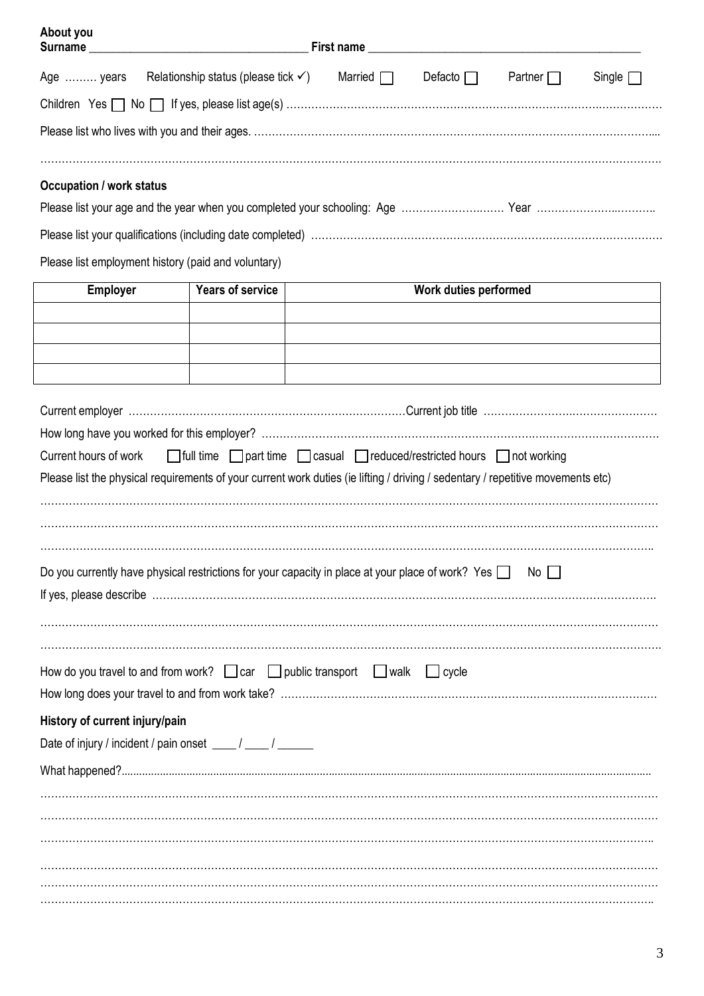| About you                       | Surname experience and the state of the state of the state of the state of the state of the state of the state of the state of the state of the state of the state of the state of the state of the state of the state of the  |                |                       |                |               |
|---------------------------------|--------------------------------------------------------------------------------------------------------------------------------------------------------------------------------------------------------------------------------|----------------|-----------------------|----------------|---------------|
| Age  years                      | Relationship status (please tick $\checkmark$ )                                                                                                                                                                                | Married $\Box$ | Defacto $\Box$        | Partner $\Box$ | Single $\Box$ |
|                                 |                                                                                                                                                                                                                                |                |                       |                |               |
|                                 |                                                                                                                                                                                                                                |                |                       |                |               |
| <b>Occupation / work status</b> |                                                                                                                                                                                                                                |                |                       |                |               |
|                                 |                                                                                                                                                                                                                                |                |                       |                |               |
|                                 |                                                                                                                                                                                                                                |                |                       |                |               |
|                                 | Please list employment history (paid and voluntary)                                                                                                                                                                            |                |                       |                |               |
| <b>Employer</b>                 | <b>Years of service</b>                                                                                                                                                                                                        |                | Work duties performed |                |               |
|                                 |                                                                                                                                                                                                                                |                |                       |                |               |
|                                 |                                                                                                                                                                                                                                |                |                       |                |               |
|                                 |                                                                                                                                                                                                                                |                |                       |                |               |
|                                 |                                                                                                                                                                                                                                |                |                       |                |               |
|                                 |                                                                                                                                                                                                                                |                |                       |                |               |
|                                 |                                                                                                                                                                                                                                |                |                       |                |               |
| Current hours of work           | □ full time □ part time □ casual □ reduced/restricted hours □ not working                                                                                                                                                      |                |                       |                |               |
|                                 | Please list the physical requirements of your current work duties (ie lifting / driving / sedentary / repetitive movements etc)                                                                                                |                |                       |                |               |
|                                 |                                                                                                                                                                                                                                |                |                       |                |               |
|                                 |                                                                                                                                                                                                                                |                |                       |                |               |
|                                 |                                                                                                                                                                                                                                |                |                       |                |               |
|                                 |                                                                                                                                                                                                                                |                |                       |                |               |
|                                 | Do you currently have physical restrictions for your capacity in place at your place of work? Yes $\Box$                                                                                                                       |                |                       | No II          |               |
|                                 | If yes, please describe with the commutation of the contract of the contract of the contract of the contract of the contract of the contract of the contract of the contract of the contract of the contract of the contract o |                |                       |                |               |
|                                 |                                                                                                                                                                                                                                |                |                       |                |               |
|                                 | How do you travel to and from work? $\Box$ car $\Box$ public transport $\Box$ walk $\Box$ cycle                                                                                                                                |                |                       |                |               |
|                                 |                                                                                                                                                                                                                                |                |                       |                |               |
| History of current injury/pain  |                                                                                                                                                                                                                                |                |                       |                |               |
|                                 | Date of injury / incident / pain onset ____ / ____ / _____                                                                                                                                                                     |                |                       |                |               |
|                                 |                                                                                                                                                                                                                                |                |                       |                |               |
|                                 |                                                                                                                                                                                                                                |                |                       |                |               |
|                                 |                                                                                                                                                                                                                                |                |                       |                |               |
|                                 |                                                                                                                                                                                                                                |                |                       |                |               |
|                                 |                                                                                                                                                                                                                                |                |                       |                |               |
|                                 |                                                                                                                                                                                                                                |                |                       |                |               |
|                                 |                                                                                                                                                                                                                                |                |                       |                |               |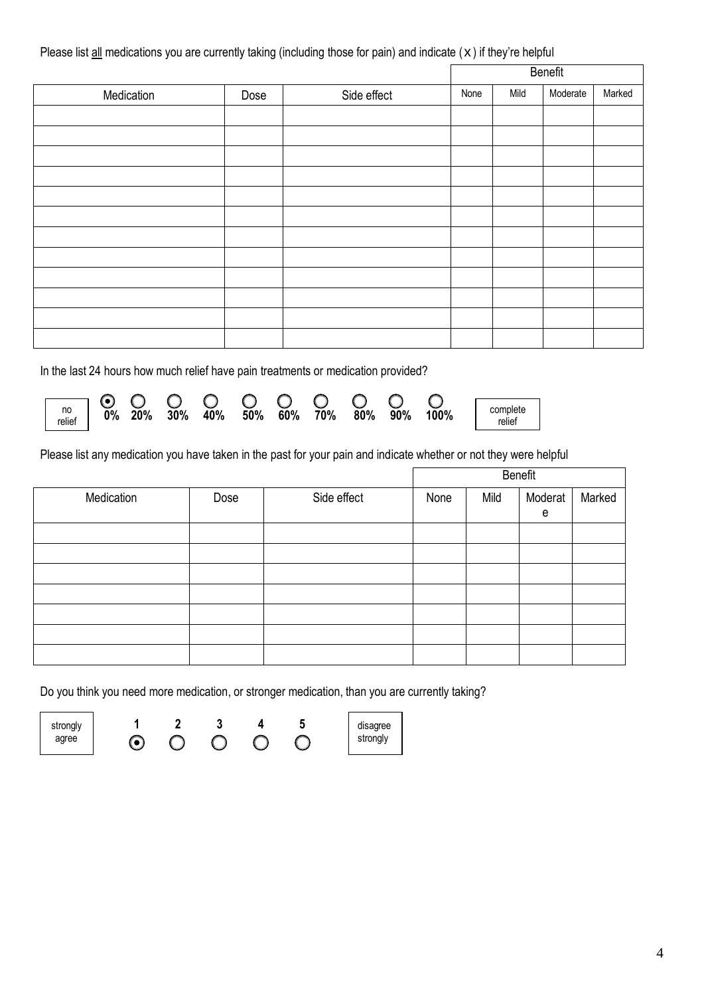Please list  $all$  medications you are currently taking (including those for pain) and indicate  $(x)$  if they're helpful

| Medication | Dose | Side effect | None | Mild | Moderate | Marked |
|------------|------|-------------|------|------|----------|--------|
|            |      |             |      |      |          |        |
|            |      |             |      |      |          |        |
|            |      |             |      |      |          |        |
|            |      |             |      |      |          |        |
|            |      |             |      |      |          |        |
|            |      |             |      |      |          |        |
|            |      |             |      |      |          |        |
|            |      |             |      |      |          |        |
|            |      |             |      |      |          |        |
|            |      |             |      |      |          |        |
|            |      |             |      |      |          |        |
|            |      |             |      |      |          |        |

In the last 24 hours how much relief have pain treatments or medication provided?

| $\begin{array}{c c}\n\hline\n\text{no} & \text{l} \\ \text{relief}\n\end{array}$ | $\overline{0}$ % | 20% | 30% | 40% | 50% 60% | 70% | $80\%$ | 90% | 100% | complete<br>relief |
|----------------------------------------------------------------------------------|------------------|-----|-----|-----|---------|-----|--------|-----|------|--------------------|

Please list any medication you have taken in the past for your pain and indicate whether or not they were helpful

|            |      |             | Benefit |      |              |        |  |
|------------|------|-------------|---------|------|--------------|--------|--|
| Medication | Dose | Side effect | None    | Mild | Moderat<br>e | Marked |  |
|            |      |             |         |      |              |        |  |
|            |      |             |         |      |              |        |  |
|            |      |             |         |      |              |        |  |
|            |      |             |         |      |              |        |  |
|            |      |             |         |      |              |        |  |
|            |      |             |         |      |              |        |  |
|            |      |             |         |      |              |        |  |

Do you think you need more medication, or stronger medication, than you are currently taking?

strongly agree

**1 2 3 4 5**   $\odot$  $\overline{O}$ 

disagree strongly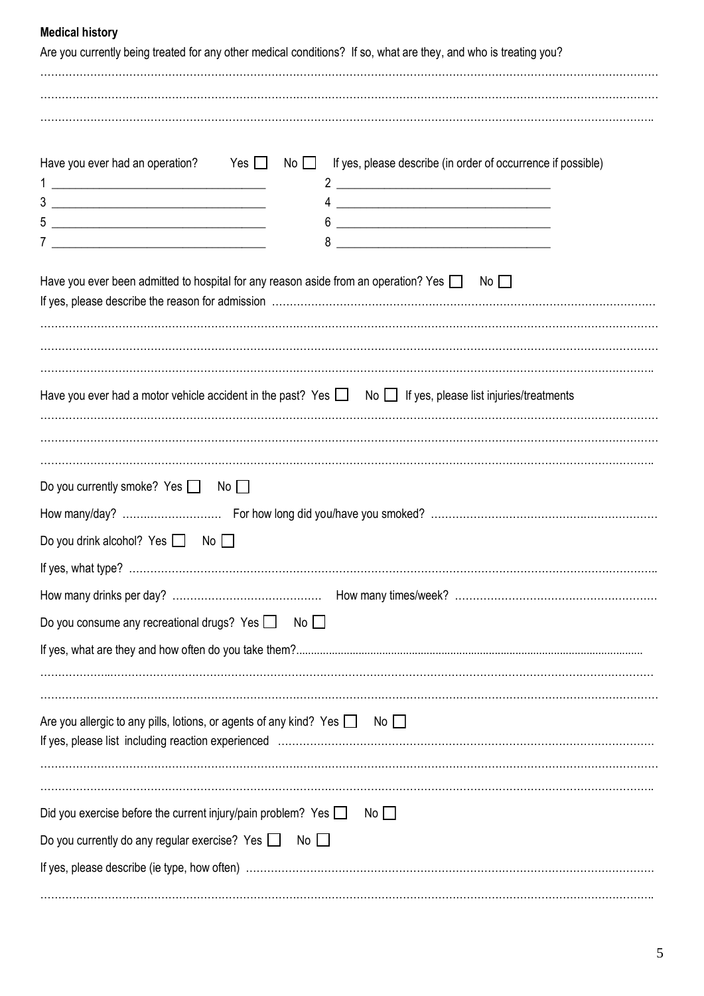## **Medical history**

| Are you currently being treated for any other medical conditions? If so, what are they, and who is treating you?                            |
|---------------------------------------------------------------------------------------------------------------------------------------------|
| Have you ever had an operation? Yes $\Box$<br>$\mathsf{No} \ \Box$ If yes, please describe (in order of occurrence if possible)             |
| <u> 1989 - Johann Barn, mars and de Brasilian (b. 1989)</u>                                                                                 |
| Have you ever been admitted to hospital for any reason aside from an operation? Yes $\Box$ No $\Box$                                        |
| Have you ever had a motor vehicle accident in the past? Yes $\Box$ No $\Box$ If yes, please list injuries/treatments                        |
| Do you currently smoke? Yes $\Box$ No $\Box$<br>Do you drink alcohol? Yes $\Box$ No $\Box$                                                  |
| Do you consume any recreational drugs? Yes $\Box$ No $\Box$                                                                                 |
| Are you allergic to any pills, lotions, or agents of any kind? Yes $\Box$ No $\Box$                                                         |
| Did you exercise before the current injury/pain problem? Yes $\Box$<br>No<br>Do you currently do any regular exercise? Yes $\Box$ No $\Box$ |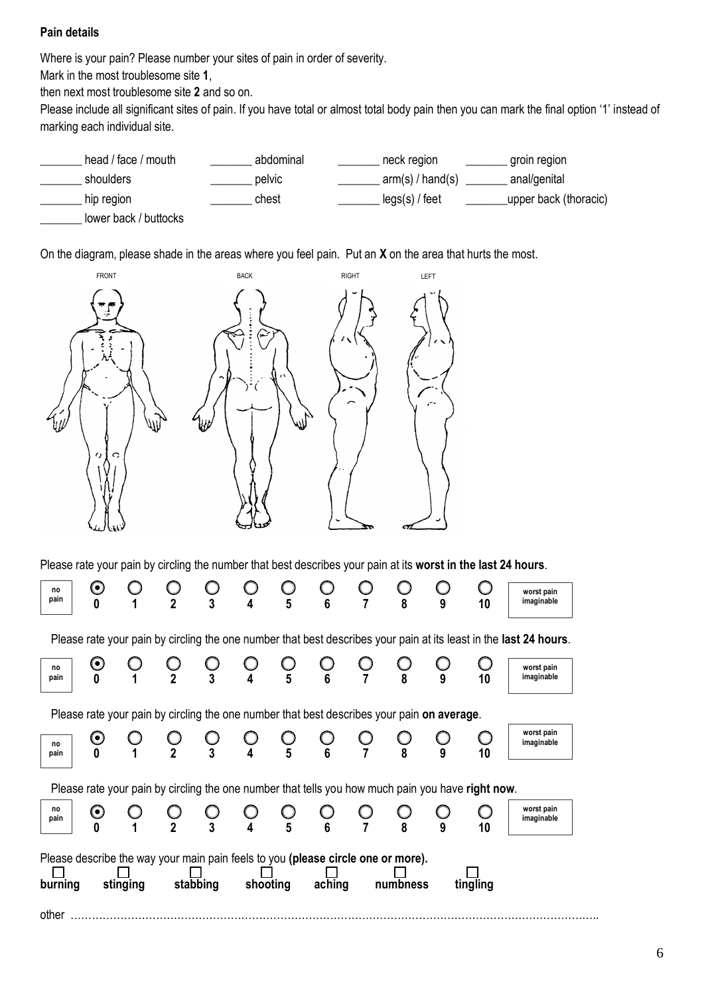## **Pain details**

Where is your pain? Please number your sites of pain in order of severity.

Mark in the most troublesome site **1**,

then next most troublesome site **2** and so on.

Please include all significant sites of pain. If you have total or almost total body pain then you can mark the final option '1' instead of marking each individual site.



On the diagram, please shade in the areas where you feel pain. Put an **X** on the area that hurts the most.



Please rate your pain by circling the number that best describes your pain at its **worst in the last 24 hours**.

| no<br>pain                                                                                                                                                                 |                       |  | $\mathbf{2}$ | 3              | 4 | $5\phantom{.0}$                                              | 6 |  | 8 | 9 | 10                                                                                                | worst pain<br>imaginable                                                                                          |
|----------------------------------------------------------------------------------------------------------------------------------------------------------------------------|-----------------------|--|--------------|----------------|---|--------------------------------------------------------------|---|--|---|---|---------------------------------------------------------------------------------------------------|-------------------------------------------------------------------------------------------------------------------|
|                                                                                                                                                                            |                       |  |              |                |   |                                                              |   |  |   |   |                                                                                                   | Please rate your pain by circling the one number that best describes your pain at its least in the last 24 hours. |
| no<br>pain                                                                                                                                                                 | O                     |  |              |                |   | $\mathbb{U} \ \mathbf{5}$                                    |   |  |   |   | 10                                                                                                | worst pain<br>imaginable                                                                                          |
| Please rate your pain by circling the one number that best describes your pain on average.                                                                                 |                       |  |              |                |   |                                                              |   |  |   |   |                                                                                                   |                                                                                                                   |
| no<br>pain                                                                                                                                                                 | $\mathbf{\Theta}$     |  |              | $\overline{3}$ |   | $\mathop{\cup}\limits_{5}$                                   |   |  |   |   | 10                                                                                                | worst pain<br>imaginable                                                                                          |
|                                                                                                                                                                            |                       |  |              |                |   |                                                              |   |  |   |   | Please rate your pain by circling the one number that tells you how much pain you have right now. |                                                                                                                   |
| no<br>pain                                                                                                                                                                 | $\boldsymbol{\Theta}$ |  |              | $\overline{3}$ |   | $\begin{array}{cc} \bigcirc & \bigcirc \\ 4 & 5 \end{array}$ |   |  |   |   | 10                                                                                                | worst pain<br>imaginable                                                                                          |
| Please describe the way your main pain feels to you (please circle one or more).<br>stabbing<br>shooting<br>aching<br>stinging<br>numbness<br>burning<br>tingling<br>other |                       |  |              |                |   |                                                              |   |  |   |   |                                                                                                   |                                                                                                                   |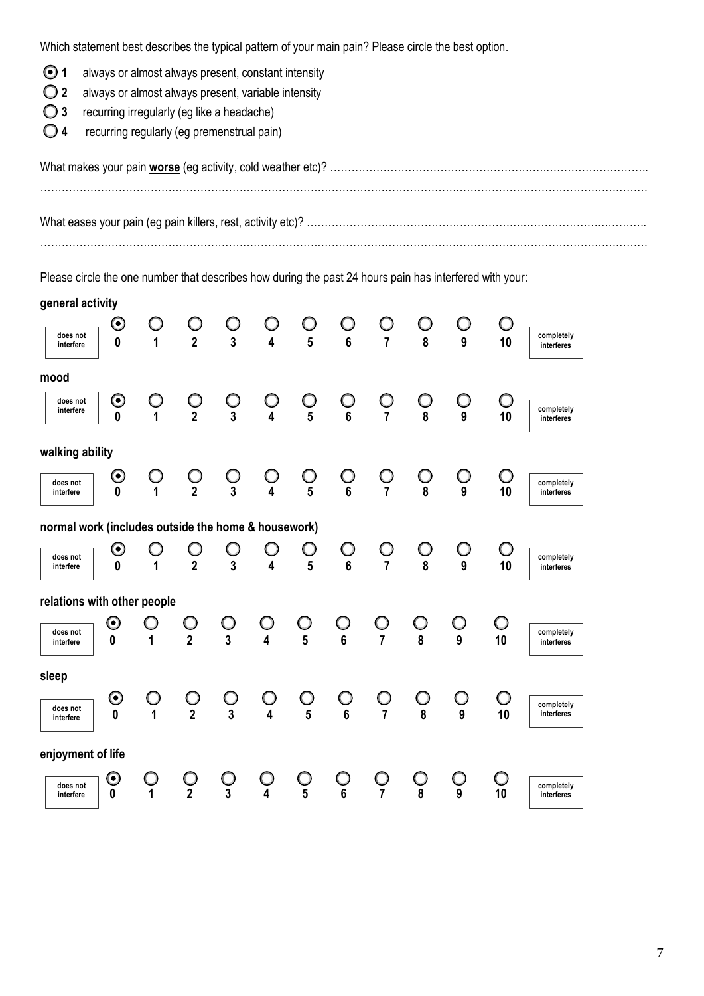Which statement best describes the typical pattern of your main pain? Please circle the best option.

- **1** always or almost always present, constant intensity
- **2** always or almost always present, variable intensity
- **3** recurring irregularly (eg like a headache)
- **4** recurring regularly (eg premenstrual pain)

Please circle the one number that describes how during the past 24 hours pain has interfered with your:

| general activity                                    |                                           |                |                         |                              |                              |                |                              |                              |                 |                                |                   |                          |
|-----------------------------------------------------|-------------------------------------------|----------------|-------------------------|------------------------------|------------------------------|----------------|------------------------------|------------------------------|-----------------|--------------------------------|-------------------|--------------------------|
| does not<br>interfere                               | $\boldsymbol{\odot}$<br>$\mathbf{0}$      | 1              | $\overline{2}$          | $\overline{3}$               | $\overline{\mathbf{4}}$      | $5\phantom{1}$ | $6\phantom{1}$               | $\overline{7}$               | 8               | 9                              | 10                | completely<br>interferes |
| mood                                                |                                           |                |                         |                              |                              |                |                              |                              |                 |                                |                   |                          |
| does not<br>interfere                               | $\boldsymbol{\odot}$<br>$\mathbf{0}$      | O<br>1         | $\mathop{\mathbb{O}}_2$ | $\bigcirc$<br>$\overline{3}$ | O<br>$\overline{\mathbf{4}}$ | $\bigcirc_5$   | $\bigcirc$<br>$6\phantom{a}$ | $\bigcirc$<br>$\overline{7}$ | $\bigcirc$<br>8 | $\bigcirc$<br>$\boldsymbol{9}$ | Ω<br>10           | completely<br>interferes |
| walking ability                                     |                                           |                |                         |                              |                              |                |                              |                              |                 |                                |                   |                          |
| does not<br>interfere                               | $\boldsymbol{\odot}$<br>$\mathbf{0}$      | O              | $\breve{2}$             | $\overline{3}$               | $\overline{\mathbf{A}}$      | $\overline{5}$ | $\bigcirc$<br>$6\phantom{a}$ | $\overline{7}$               | 8               | O<br>9                         | 10                | completely<br>interferes |
| normal work (includes outside the home & housework) |                                           |                |                         |                              |                              |                |                              |                              |                 |                                |                   |                          |
| does not<br>interfere                               | $\boldsymbol{\Theta}$<br>$\boldsymbol{0}$ | 1              | $\overline{2}$          | $\overline{3}$               | 4                            | 5              | $\bigcirc$<br>$6\phantom{a}$ | $\overline{7}$               | $\overline{8}$  | $\bigcirc$<br>$\overline{9}$   | 10                | completely<br>interferes |
| relations with other people                         |                                           |                |                         |                              |                              |                |                              |                              |                 |                                |                   |                          |
| does not<br>interfere                               | $\boldsymbol{\Theta}$<br>0                | 1              | $\overline{2}$          | $\overline{3}$               | O<br>$\overline{\mathbf{4}}$ | ∩<br>5         | $6\phantom{a}$               | $\overline{7}$               | ∩<br>8          | O<br>$\overline{9}$            | O<br>10           | completely<br>interferes |
| sleep                                               |                                           |                |                         |                              |                              |                |                              |                              |                 |                                |                   |                          |
| does not<br>interfere                               | $\boldsymbol{\odot}$<br>$\bf{0}$          | $\overline{1}$ | $\overline{2}$          | $\bigcup$<br>$\overline{3}$  | Ő<br>$\overline{4}$          | $\overline{5}$ | $6\phantom{a}$               | $\bigcirc$<br>$\overline{7}$ | 8               | O<br>$\overline{9}$            | O<br>10           | completely<br>interferes |
| enjoyment of life                                   |                                           |                |                         |                              |                              |                |                              |                              |                 |                                |                   |                          |
| does not<br>interfere                               | $\boldsymbol{\odot}$<br>0                 | Ω              | $\overline{2}$          | $\overline{3}$               | $\overline{4}$               | $\frac{6}{5}$  | $6\phantom{a}$               | $\overline{7}$               | $\bar{8}$       | 9                              | $\mathbf C$<br>10 | completely<br>interferes |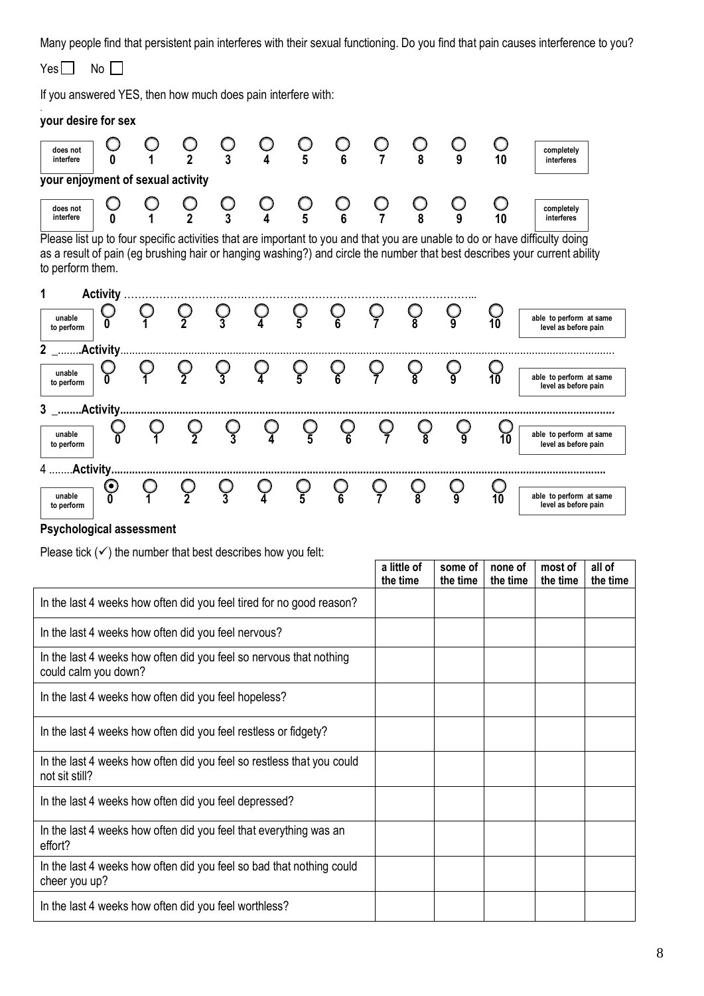Many people find that persistent pain interferes with their sexual functioning. Do you find that pain causes interference to you?

 $Yes \Box$  No  $\Box$ If you answered YES, then how much does pain interfere with: . **your desire for sex 0 1 2 3 4 5 6 7 8 9 10 your enjoyment of sexual activity 0 1 2 3 4 5 6 7 8 9 10**  Please list up to four specific activities that are important to you and that you are unable to do or have difficulty doing as a result of pain (eg brushing hair or hanging washing?) and circle the number that best describes your current ability to perform them. **1 Activity** …………………………….………………………………………………………... **0 1 2 3 4 5 6 7 8 9 10 2** \_.......**.Activity**....................................................................................................................................................................... **0 1 2 3 4 5 6 7 8 9 10 3 \_........Activity....................................................................................................................................................................... 0 1 2 3 4 5 6 7 8 9 10 unable to perform able to perform at same level as before pain unable to perform 0 1 2 3 4 5 6 7 8 9 10 able to perform at same to perform** at same **level as before pain completely interferes does not interfere does not interfere completely interferes unable to perform able to perform at same level as before pain**

| <b>ID DELIVIIII</b>  |  |  |  |  |  |    | <b>ICACI AS NEINIC NAIII</b>                    |
|----------------------|--|--|--|--|--|----|-------------------------------------------------|
|                      |  |  |  |  |  |    |                                                 |
| unable<br>to perform |  |  |  |  |  | 10 | able to perform at same<br>level as before pain |

**a little of** 

#### **Psychological assessment**

Please tick  $(\checkmark)$  the number that best describes how you felt:

|                                                                                            | a little of<br>the time | some of<br>the time | none of<br>the time | most of<br>the time | all of<br>the time |
|--------------------------------------------------------------------------------------------|-------------------------|---------------------|---------------------|---------------------|--------------------|
| In the last 4 weeks how often did you feel tired for no good reason?                       |                         |                     |                     |                     |                    |
| In the last 4 weeks how often did you feel nervous?                                        |                         |                     |                     |                     |                    |
| In the last 4 weeks how often did you feel so nervous that nothing<br>could calm you down? |                         |                     |                     |                     |                    |
| In the last 4 weeks how often did you feel hopeless?                                       |                         |                     |                     |                     |                    |
| In the last 4 weeks how often did you feel restless or fidgety?                            |                         |                     |                     |                     |                    |
| In the last 4 weeks how often did you feel so restless that you could<br>not sit still?    |                         |                     |                     |                     |                    |
| In the last 4 weeks how often did you feel depressed?                                      |                         |                     |                     |                     |                    |
| In the last 4 weeks how often did you feel that everything was an<br>effort?               |                         |                     |                     |                     |                    |
| In the last 4 weeks how often did you feel so bad that nothing could<br>cheer you up?      |                         |                     |                     |                     |                    |
| In the last 4 weeks how often did you feel worthless?                                      |                         |                     |                     |                     |                    |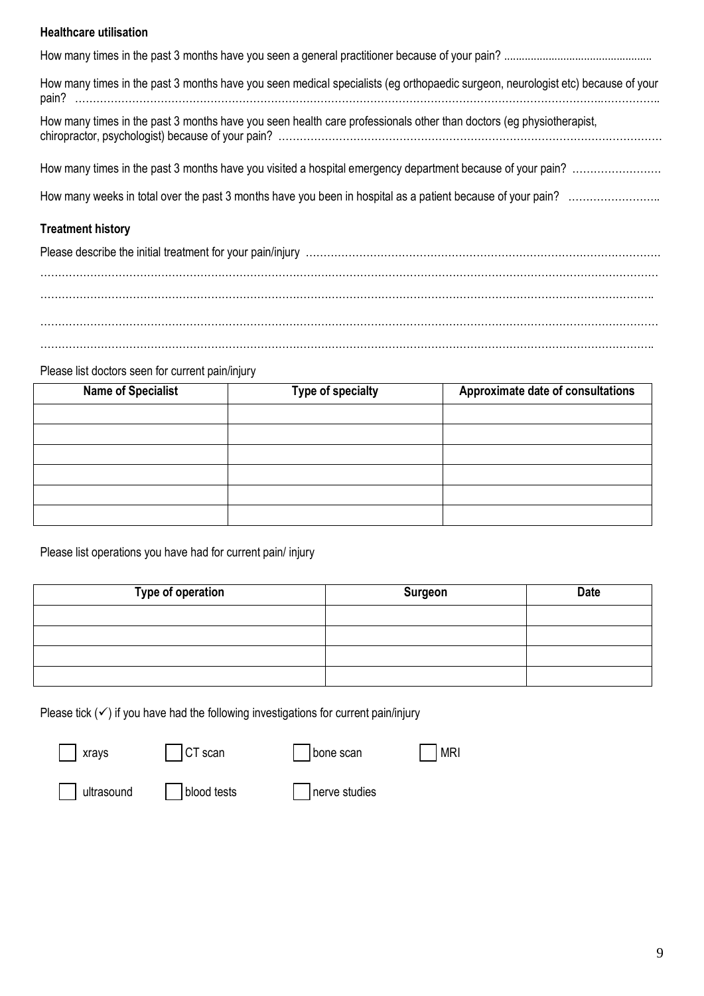#### **Healthcare utilisation**

| How many times in the past 3 months have you seen medical specialists (eg orthopaedic surgeon, neurologist etc) because of your |
|---------------------------------------------------------------------------------------------------------------------------------|
| How many times in the past 3 months have you seen health care professionals other than doctors (eg physiotherapist,             |
|                                                                                                                                 |
|                                                                                                                                 |
|                                                                                                                                 |
| <b>Treatment history</b>                                                                                                        |
|                                                                                                                                 |
|                                                                                                                                 |
|                                                                                                                                 |

………………………………………………………………………………………………………………………………………………………… ………………………………………………………………………………………………………………………………………………………..

#### Please list doctors seen for current pain/injury

| <b>Name of Specialist</b> | <b>Type of specialty</b> | Approximate date of consultations |  |
|---------------------------|--------------------------|-----------------------------------|--|
|                           |                          |                                   |  |
|                           |                          |                                   |  |
|                           |                          |                                   |  |
|                           |                          |                                   |  |
|                           |                          |                                   |  |
|                           |                          |                                   |  |

Please list operations you have had for current pain/ injury

| Type of operation | <b>Surgeon</b> | <b>Date</b> |
|-------------------|----------------|-------------|
|                   |                |             |
|                   |                |             |
|                   |                |             |
|                   |                |             |

Please tick  $(\checkmark)$  if you have had the following investigations for current pain/injury

| $\Box$ xrays      | $\vert$ CT scan       | $\vert$ $\vert$ bone scan | MRI |
|-------------------|-----------------------|---------------------------|-----|
| $\Box$ ultrasound | $\vert$   blood tests | $\vert$   nerve studies   |     |

 $\Theta$